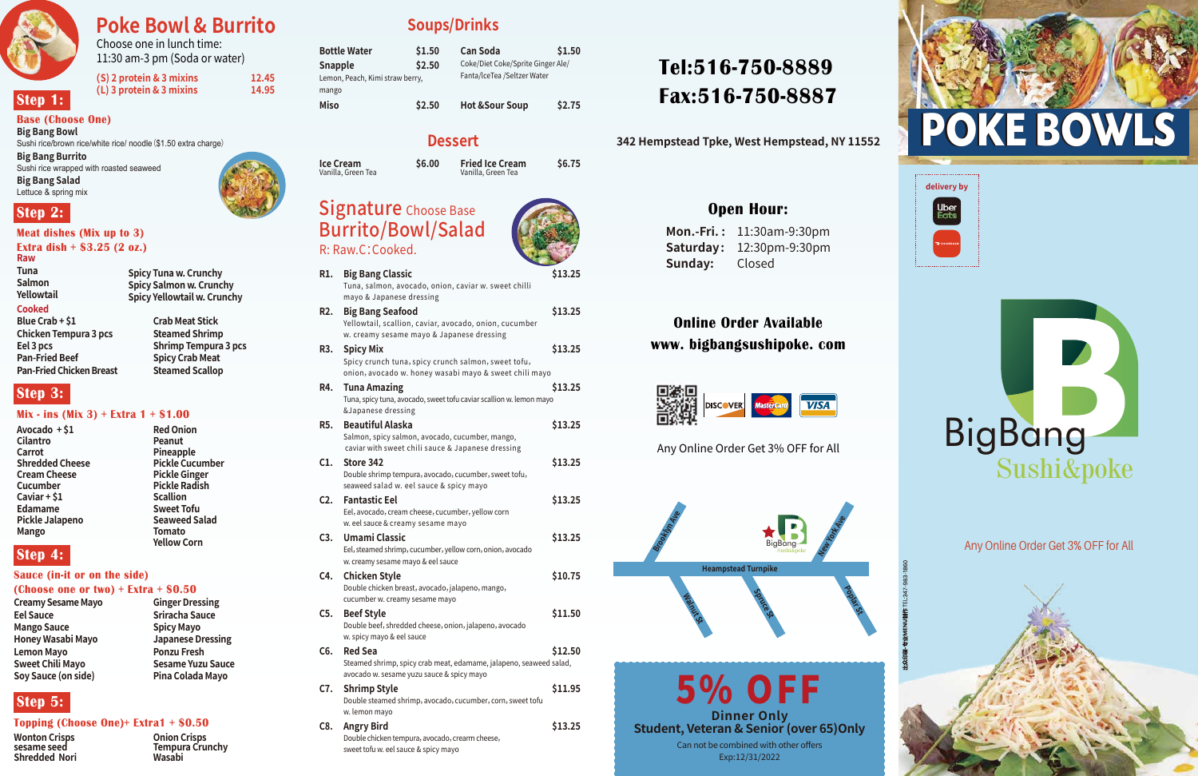# **Tel:516-750-8889 Fax:516-750-8887**

**342 Hempstead Tpke, West Hempstead, NY 11552**

### **Open Hour:**

**Mon.-Fri. :** 11:30am-9:30pm **Saturday:** 12:30pm-9:30pm **Sunday:** Closed

## **Online Order Available www. bigbangsushipoke. com**



Any Online Order Get 3% OFF for All

Any Online Order Get 3% OFF for All



Choose one in lunch time: 11:30 am-3 pm (Soda or water)

| 12.45 |
|-------|
| 14.95 |
|       |

### **Base (Choose One)**

**Big Bang Bowl** Sushi rice/brown rice/white rice/ noodle(\$1.50 extra charge)

**Big Bang Burrito** Sushi rice wrapped with roasted seaweed

**Big Bang Salad** Lettuce & spring mix

# Signature Choose Base Burrito/Bowl/Salad

| R1. | <b>Big Bang Classic</b><br>Tuna, salmon, avocado, onion, caviar w. sweet chilli                                                                            | \$13.25 |
|-----|------------------------------------------------------------------------------------------------------------------------------------------------------------|---------|
| R2. | mayo & Japanese dressing<br><b>Big Bang Seafood</b><br>Yellowtail, scallion, caviar, avocado, onion, cucumber<br>w. creamy sesame mayo & Japanese dressing | \$13.25 |
| R3. | <b>Spicy Mix</b><br>Spicy crunch tuna, spicy crunch salmon, sweet tofu,<br>onion, avocado w. honey wasabi mayo & sweet chili mayo                          | \$13.25 |
| R4. | <b>Tuna Amazing</b><br>Tuna, spicy tuna, avocado, sweet tofu caviar scallion w. lemon mayo<br>&Japanese dressing                                           | \$13.25 |
| R5. | <b>Beautiful Alaska</b><br>Salmon, spicy salmon, avocado, cucumber, mango,<br>caviar with sweet chili sauce & Japanese dressing                            | \$13.25 |
| C1. | Store 342<br>Double shrimp tempura, avocado, cucumber, sweet tofu,<br>seaweed salad w. eel sauce & spicy mayo                                              | \$13.25 |
| C2. | <b>Fantastic Eel</b><br>Eel, avocado, cream cheese, cucumber, yellow corn<br>w. eel sauce & creamy sesame mayo                                             | \$13.25 |
| C3. | <b>Umami Classic</b><br>Eel, steamed shrimp, cucumber, yellow corn, onion, avocado<br>w. creamy sesame mayo & eel sauce                                    | \$13.25 |
| C4. | <b>Chicken Style</b><br>Double chicken breast, avocado, jalapeno, mango,<br>cucumber w. creamy sesame mayo                                                 | \$10.75 |
| C5. | <b>Beef Style</b><br>Double beef, shredded cheese, onion, jalapeno, avocado<br>w. spicy mayo & eel sauce                                                   | \$11.50 |
| C6. | <b>Red Sea</b><br>Steamed shrimp, spicy crab meat, edamame, jalapeno, seaweed salad,<br>avocado w. sesame yuzu sauce & spicy mayo                          | \$12.50 |
| C7. | <b>Shrimp Style</b><br>Double steamed shrimp, avocado, cucumber, corn, sweet tofu<br>w. lemon mayo                                                         | \$11.95 |
| C8. | <b>Angry Bird</b><br>Double chicken tempura, avocado, crearm cheese,<br>sweet tofu w. eel sauce & spicy mayo                                               | \$13.25 |
|     |                                                                                                                                                            |         |

| <b>Bottle Water</b>             | \$1.50 |  |
|---------------------------------|--------|--|
| <b>Snapple</b>                  | \$2.50 |  |
| Lemon, Peach, Kimi straw berry, |        |  |
| mango                           |        |  |
| <b>Miso</b>                     | \$2.50 |  |

**Ice Cream \$6.00**

Vanilla, Green Tea

### **Meat dishes (Mix up to 3)**

**Extra dish + \$3.25 (2 oz.)**

# **Soups/Drinks**

### **Dessert**

R: Raw.C:Cooked.

### **Mix - ins (Mix 3) + Extra 1 + \$1.00**

### **Sauce (in-it or on the side)**

### **Topping (Choose One)+ Extra1 + \$0.50**

**Raw Tuna** 

**Salmon Yellowtail** 

### **Cooked**

**Crab Meat Stick Steamed Shrimp Shrimp Tempura 3 pcs Spicy Crab Meat Steamed Scallop** 

**Spicy Tuna w. Crunchy Spicy Salmon w. Crunchy Spicy Yellowtail w. Crunchy** 

#### **(Choose one or two) + Extra + \$0.50 Ginger Dressing**

**Avocado + \$1 Cilantro Carrot Shredded Cheese Cream Cheese Cucumber Caviar + \$1 Edamame Pickle Jalapeno Mango**

**Red Onion Peanut Pineapple Pickle Cucumber Pickle Ginger Pickle Radish Scallion Sweet Tofu Seaweed Salad Tomato Yellow Corn** 

**Creamy Sesame Mayo Eel Sauce Mango Sauce Honey Wasabi Mayo Lemon Mayo Sweet Chili Mayo Soy Sauce (on side)**

**Sriracha Sauce Spicy Mayo** 

**Japanese Dressing Ponzu Fresh Sesame Yuzu Sauce Pina Colada Mayo**

- **Wonton Crisps sesame seed Shredded Nori**
- **Onion Crisps Tempura Crunchy Wasabi**

5% OFF **Dinner Only Student, Veteran & Senior (over 65)Only** Can not be combined with other offers Exp:12/31/2022







# **Poke Bowl & Burrito**







**Step 1:**

### **Step 2:**

### **Step 4:**

- **Blue Crab + \$1 Chicken Tempura 3 pcs Eel 3 pcs Pan-Fried Beef Pan-Fried Chicken Breast**
- **Step 3:**

# **Step 5:**

**Can Soda \$1.50**

### Coke/Diet Coke/Sprite Ginger Ale/ Fanta/lceTea /Seltzer Water **Hot &Sour Soup \$2.75**

**Fried Ice Cream \$6.75** Vanilla, Green Tea